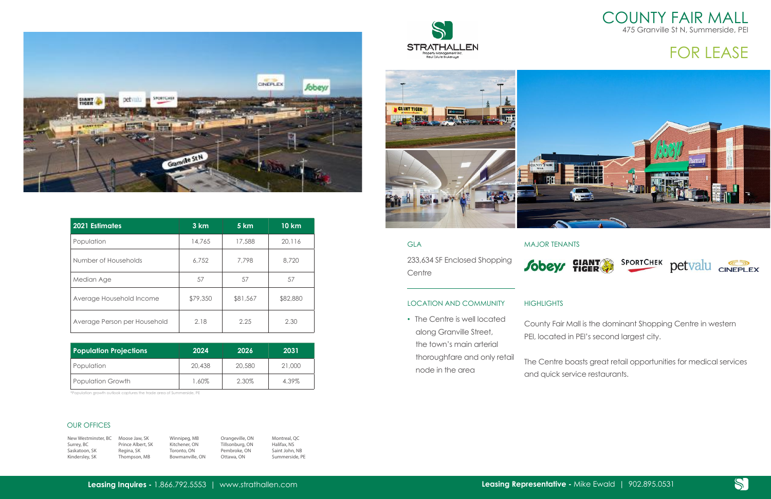**Leasing Inquires -** 1.866.792.5553 | www.strathallen.com

## COUNTY FAIR MALL 475 Granville St N, Summerside, PEI

| GI A                                                                                | <b>MAJOR TEN</b>            |
|-------------------------------------------------------------------------------------|-----------------------------|
| 233,634 SF Enclosed Shopping<br>Centre                                              | <b>Sobeys</b>               |
| <b>LOCATION AND COMMUNITY</b>                                                       | <b>HIGHLIGHTS</b>           |
| • The Centre is well located<br>along Granville Street,<br>the town's main arterial | County Fair<br>PEI, located |

The Centre boasts great retail opportunities for medical services and quick service restaurants.



## FOR LEASE

R TENANTS



Ity Fair Mall is the dominant Shopping Centre in western ecated in PEI's second largest city.

thoroughfare and only retail node in the area



| <b>2021 Estimates</b>        | 3 km     | 5 km     | <b>10 km</b> |
|------------------------------|----------|----------|--------------|
| Population                   | 14,765   | 17,588   | 20,116       |
| Number of Households         | 6,752    | 7,798    | 8,720        |
| Median Age                   | 57       | 57       | 57           |
| Average Household Income     | \$79,350 | \$81,567 | \$82,880     |
| Average Person per Household | 2.18     | 2.25     | 2.30         |

| <b>Population Projections</b> | 2024   | 2026   | 2031   |
|-------------------------------|--------|--------|--------|
| Population                    | 20,438 | 20,580 | 21,000 |
| Population Growth             | 1.60%  | 2.30%  | 4.39%  |

\*Population growth outlook captures the trade area of Summerside, PE

New Westminster, BC Moose Jaw, SK Surrey, BC Saskatoon, SK Kindersley, SK

Prince Albert, SK Regina, SK Thompson, MB Winnipeg, MB Kitchener, ON Toronto, ON Bowmanville, ON

Orangeville, ON Tillsonburg, ON Pembroke, ON Ottawa, ON

Montreal, QC Halifax, NS Saint John, NB Summerside, PE







## OUR OFFICES